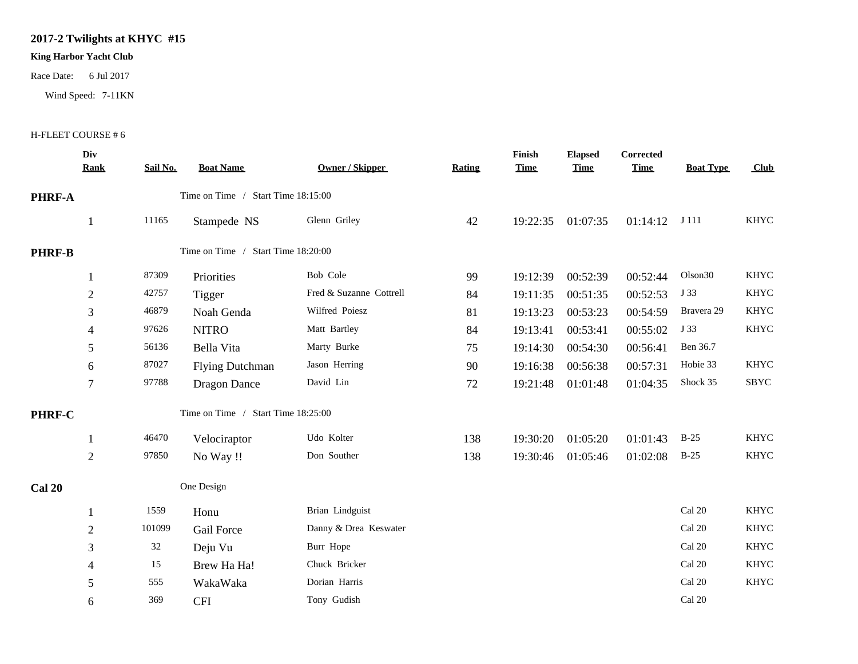## **2017-2 Twilights at KHYC #15**

## **King Harbor Yacht Club**

Race Date: 6 Jul 2017

Wind Speed: 7-11KN

## H-FLEET COURSE # 6

|               | Div<br><b>Rank</b>                 | Sail No. | <b>Boat Name</b>                   | <b>Owner / Skipper</b>  | Rating | Finish<br><b>Time</b> | <b>Elapsed</b><br><b>Time</b> | <b>Corrected</b><br><b>Time</b> | <b>Boat Type</b>        | Club        |
|---------------|------------------------------------|----------|------------------------------------|-------------------------|--------|-----------------------|-------------------------------|---------------------------------|-------------------------|-------------|
|               |                                    |          |                                    |                         |        |                       |                               |                                 |                         |             |
| PHRF-A        | Time on Time / Start Time 18:15:00 |          |                                    |                         |        |                       |                               |                                 |                         |             |
|               | $\mathbf{1}$                       | 11165    | Stampede NS                        | Glenn Griley            | 42     | 19:22:35              | 01:07:35                      | 01:14:12                        | J 111                   | <b>KHYC</b> |
| <b>PHRF-B</b> |                                    |          | Time on Time / Start Time 18:20:00 |                         |        |                       |                               |                                 |                         |             |
|               | 1                                  | 87309    | Priorities                         | Bob Cole                | 99     | 19:12:39              | 00:52:39                      | 00:52:44                        | Olson <sub>30</sub>     | <b>KHYC</b> |
|               | $\overline{2}$                     | 42757    | Tigger                             | Fred & Suzanne Cottrell | 84     | 19:11:35              | 00:51:35                      | 00:52:53                        | J 33                    | <b>KHYC</b> |
|               | 3                                  | 46879    | Noah Genda                         | Wilfred Poiesz          | 81     | 19:13:23              | 00:53:23                      | 00:54:59                        | Bravera 29              | <b>KHYC</b> |
|               | $\overline{\mathcal{A}}$           | 97626    | <b>NITRO</b>                       | Matt Bartley            | 84     | 19:13:41              | 00:53:41                      | 00:55:02                        | J 33                    | <b>KHYC</b> |
|               | 5                                  | 56136    | Bella Vita                         | Marty Burke             | 75     | 19:14:30              | 00:54:30                      | 00:56:41                        | Ben 36.7                |             |
|               | 6                                  | 87027    | <b>Flying Dutchman</b>             | Jason Herring           | 90     | 19:16:38              | 00:56:38                      | 00:57:31                        | Hobie 33                | <b>KHYC</b> |
|               | $\overline{7}$                     | 97788    | <b>Dragon Dance</b>                | David Lin               | 72     | 19:21:48              | 01:01:48                      | 01:04:35                        | Shock 35                | SBYC        |
| PHRF-C        |                                    |          | Time on Time / Start Time 18:25:00 |                         |        |                       |                               |                                 |                         |             |
|               | 1                                  | 46470    | Velociraptor                       | Udo Kolter              | 138    | 19:30:20              | 01:05:20                      | 01:01:43                        | $B-25$                  | <b>KHYC</b> |
|               | $\overline{2}$                     | 97850    | No Way !!                          | Don Souther             | 138    | 19:30:46              | 01:05:46                      | 01:02:08                        | $B-25$                  | <b>KHYC</b> |
| <b>Cal 20</b> |                                    |          | One Design                         |                         |        |                       |                               |                                 |                         |             |
|               | 1                                  | 1559     | Honu                               | Brian Lindguist         |        |                       |                               |                                 | $\operatorname{Cal}$ 20 | <b>KHYC</b> |
|               | $\overline{2}$                     | 101099   | <b>Gail Force</b>                  | Danny & Drea Keswater   |        |                       |                               |                                 | Cal 20                  | <b>KHYC</b> |
|               | 3                                  | 32       | Deju Vu                            | Burr Hope               |        |                       |                               |                                 | Cal 20                  | <b>KHYC</b> |
|               | $\overline{\mathcal{A}}$           | 15       | Brew Ha Ha!                        | Chuck Bricker           |        |                       |                               |                                 | Cal 20                  | <b>KHYC</b> |
|               | 5                                  | 555      | WakaWaka                           | Dorian Harris           |        |                       |                               |                                 | Cal 20                  | <b>KHYC</b> |
|               | 6                                  | 369      | <b>CFI</b>                         | Tony Gudish             |        |                       |                               |                                 | Cal 20                  |             |